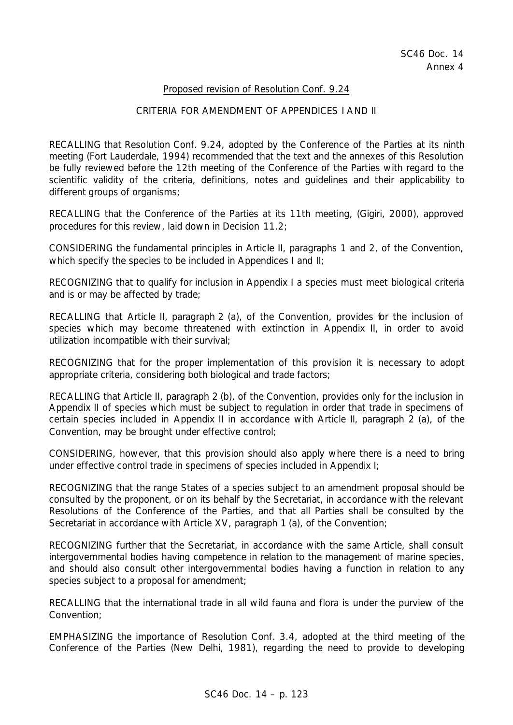#### Proposed revision of Resolution Conf. 9.24

#### CRITERIA FOR AMENDMENT OF APPENDICES I AND II

RECALLING that Resolution Conf. 9.24, adopted by the Conference of the Parties at its ninth meeting (Fort Lauderdale, 1994) recommended that the text and the annexes of this Resolution be fully reviewed before the 12th meeting of the Conference of the Parties with regard to the scientific validity of the criteria, definitions, notes and guidelines and their applicability to different groups of organisms;

RECALLING that the Conference of the Parties at its 11th meeting, (Gigiri, 2000), approved procedures for this review, laid down in Decision 11.2;

CONSIDERING the fundamental principles in Article II, paragraphs 1 and 2, of the Convention, which specify the species to be included in Appendices I and II:

RECOGNIZING that to qualify for inclusion in Appendix I a species must meet biological criteria and is or may be affected by trade;

RECALLING that Article II, paragraph 2 (a), of the Convention, provides for the inclusion of species which may become threatened with extinction in Appendix II, in order to avoid utilization incompatible with their survival;

RECOGNIZING that for the proper implementation of this provision it is necessary to adopt appropriate criteria, considering both biological and trade factors;

RECALLING that Article II, paragraph 2 (b), of the Convention, provides only for the inclusion in Appendix II of species which must be subject to regulation in order that trade in specimens of certain species included in Appendix II in accordance with Article II, paragraph 2 (a), of the Convention, may be brought under effective control;

CONSIDERING, however, that this provision should also apply where there is a need to bring under effective control trade in specimens of species included in Appendix I;

RECOGNIZING that the range States of a species subject to an amendment proposal should be consulted by the proponent, or on its behalf by the Secretariat, in accordance with the relevant Resolutions of the Conference of the Parties, and that all Parties shall be consulted by the Secretariat in accordance with Article XV, paragraph 1 (a), of the Convention;

RECOGNIZING further that the Secretariat, in accordance with the same Article, shall consult intergovernmental bodies having competence in relation to the management of marine species, and should also consult other intergovernmental bodies having a function in relation to any species subject to a proposal for amendment;

RECALLING that the international trade in all wild fauna and flora is under the purview of the Convention;

EMPHASIZING the importance of Resolution Conf. 3.4, adopted at the third meeting of the Conference of the Parties (New Delhi, 1981), regarding the need to provide to developing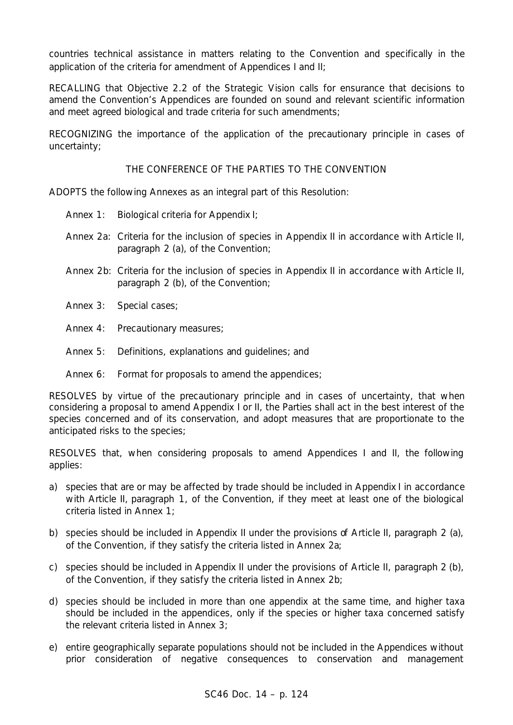countries technical assistance in matters relating to the Convention and specifically in the application of the criteria for amendment of Appendices I and II;

RECALLING that Objective 2.2 of the Strategic Vision calls for ensurance that decisions to amend the Convention's Appendices are founded on sound and relevant scientific information and meet agreed biological and trade criteria for such amendments;

RECOGNIZING the importance of the application of the precautionary principle in cases of uncertainty;

# THE CONFERENCE OF THE PARTIES TO THE CONVENTION

ADOPTS the following Annexes as an integral part of this Resolution:

- Annex 1: Biological criteria for Appendix I;
- Annex 2a: Criteria for the inclusion of species in Appendix II in accordance with Article II, paragraph 2 (a), of the Convention;
- Annex 2b: Criteria for the inclusion of species in Appendix II in accordance with Article II, paragraph 2 (b), of the Convention;
- Annex 3: Special cases;
- Annex 4: Precautionary measures;
- Annex 5: Definitions, explanations and guidelines; and
- Annex 6: Format for proposals to amend the appendices;

RESOLVES by virtue of the precautionary principle and in cases of uncertainty, that when considering a proposal to amend Appendix I or II, the Parties shall act in the best interest of the species concerned and of its conservation, and adopt measures that are proportionate to the anticipated risks to the species;

RESOLVES that, when considering proposals to amend Appendices I and II, the following applies:

- a) species that are or may be affected by trade should be included in Appendix I in accordance with Article II, paragraph 1, of the Convention, if they meet at least one of the biological criteria listed in Annex 1;
- b) species should be included in Appendix II under the provisions of Article II, paragraph 2 (a), of the Convention, if they satisfy the criteria listed in Annex 2a;
- c) species should be included in Appendix II under the provisions of Article II, paragraph 2 (b), of the Convention, if they satisfy the criteria listed in Annex 2b;
- d) species should be included in more than one appendix at the same time, and higher taxa should be included in the appendices, only if the species or higher taxa concerned satisfy the relevant criteria listed in Annex 3;
- e) entire geographically separate populations should not be included in the Appendices without prior consideration of negative consequences to conservation and management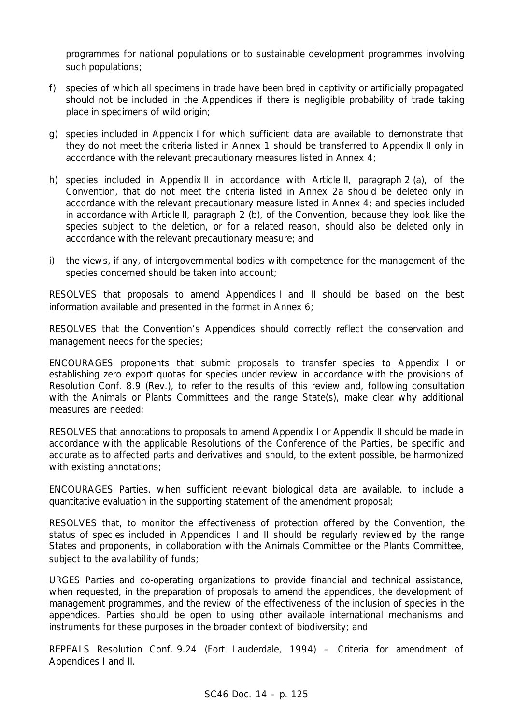programmes for national populations or to sustainable development programmes involving such populations;

- f) species of which all specimens in trade have been bred in captivity or artificially propagated should not be included in the Appendices if there is negligible probability of trade taking place in specimens of wild origin;
- g) species included in Appendix I for which sufficient data are available to demonstrate that they do not meet the criteria listed in Annex 1 should be transferred to Appendix II only in accordance with the relevant precautionary measures listed in Annex 4;
- h) species included in Appendix II in accordance with Article II, paragraph 2 (a), of the Convention, that do not meet the criteria listed in Annex 2a should be deleted only in accordance with the relevant precautionary measure listed in Annex 4; and species included in accordance with Article II, paragraph 2 (b), of the Convention, because they look like the species subject to the deletion, or for a related reason, should also be deleted only in accordance with the relevant precautionary measure; and
- i) the views, if any, of intergovernmental bodies with competence for the management of the species concerned should be taken into account;

RESOLVES that proposals to amend Appendices I and II should be based on the best information available and presented in the format in Annex 6;

RESOLVES that the Convention's Appendices should correctly reflect the conservation and management needs for the species;

ENCOURAGES proponents that submit proposals to transfer species to Appendix I or establishing zero export quotas for species under review in accordance with the provisions of Resolution Conf. 8.9 (Rev.), to refer to the results of this review and, following consultation with the Animals or Plants Committees and the range State(s), make clear why additional measures are needed;

RESOLVES that annotations to proposals to amend Appendix I or Appendix II should be made in accordance with the applicable Resolutions of the Conference of the Parties, be specific and accurate as to affected parts and derivatives and should, to the extent possible, be harmonized with existing annotations;

ENCOURAGES Parties, when sufficient relevant biological data are available, to include a quantitative evaluation in the supporting statement of the amendment proposal;

RESOLVES that, to monitor the effectiveness of protection offered by the Convention, the status of species included in Appendices I and II should be regularly reviewed by the range States and proponents, in collaboration with the Animals Committee or the Plants Committee, subject to the availability of funds;

URGES Parties and co-operating organizations to provide financial and technical assistance, when requested, in the preparation of proposals to amend the appendices, the development of management programmes, and the review of the effectiveness of the inclusion of species in the appendices. Parties should be open to using other available international mechanisms and instruments for these purposes in the broader context of biodiversity; and

REPEALS Resolution Conf. 9.24 (Fort Lauderdale, 1994) – Criteria for amendment of Appendices I and II.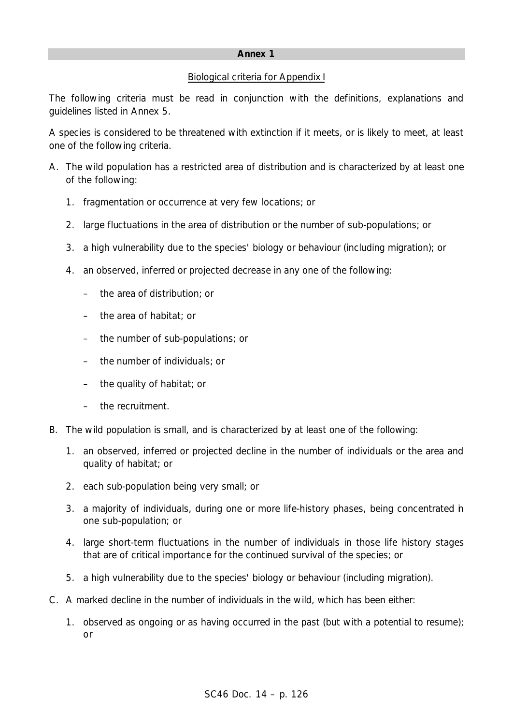# Biological criteria for Appendix I

The following criteria must be read in conjunction with the definitions, explanations and guidelines listed in Annex 5.

A species is considered to be threatened with extinction if it meets, or is likely to meet, at least one of the following criteria.

- A. The wild population has a restricted area of distribution and is characterized by at least one of the following:
	- 1. fragmentation or occurrence at very few locations; or
	- 2. large fluctuations in the area of distribution or the number of sub-populations; or
	- 3. a high vulnerability due to the species' biology or behaviour (including migration); or
	- 4. an observed, inferred or projected decrease in any one of the following:
		- the area of distribution; or
		- the area of habitat; or
		- the number of sub-populations; or
		- the number of individuals; or
		- the quality of habitat; or
		- the recruitment.
- B. The wild population is small, and is characterized by at least one of the following:
	- 1. an observed, inferred or projected decline in the number of individuals or the area and quality of habitat; or
	- 2. each sub-population being very small; or
	- 3. a majority of individuals, during one or more life-history phases, being concentrated in one sub-population; or
	- 4. large short-term fluctuations in the number of individuals in those life history stages that are of critical importance for the continued survival of the species; or
	- 5. a high vulnerability due to the species' biology or behaviour (including migration).
- C. A marked decline in the number of individuals in the wild, which has been either:
	- 1. observed as ongoing or as having occurred in the past (but with a potential to resume); or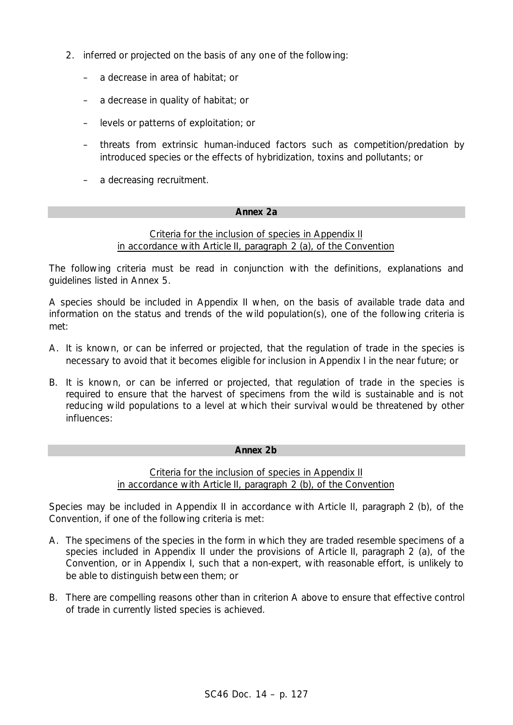- 2. inferred or projected on the basis of any one of the following:
	- a decrease in area of habitat; or
	- a decrease in quality of habitat; or
	- levels or patterns of exploitation; or
	- threats from extrinsic human-induced factors such as competition/predation by introduced species or the effects of hybridization, toxins and pollutants; or
	- a decreasing recruitment.

# **Annex 2a**

# Criteria for the inclusion of species in Appendix II in accordance with Article II, paragraph 2 (a), of the Convention

The following criteria must be read in conjunction with the definitions, explanations and guidelines listed in Annex 5.

A species should be included in Appendix II when, on the basis of available trade data and information on the status and trends of the wild population(s), one of the following criteria is met:

- A. It is known, or can be inferred or projected, that the regulation of trade in the species is necessary to avoid that it becomes eligible for inclusion in Appendix I in the near future; or
- B. It is known, or can be inferred or projected, that regulation of trade in the species is required to ensure that the harvest of specimens from the wild is sustainable and is not reducing wild populations to a level at which their survival would be threatened by other influences:

# **Annex 2b**

# Criteria for the inclusion of species in Appendix II in accordance with Article II, paragraph 2 (b), of the Convention

Species may be included in Appendix II in accordance with Article II, paragraph 2 (b), of the Convention, if one of the following criteria is met:

- A. The specimens of the species in the form in which they are traded resemble specimens of a species included in Appendix II under the provisions of Article II, paragraph 2 (a), of the Convention, or in Appendix I, such that a non-expert, with reasonable effort, is unlikely to be able to distinguish between them; or
- B. There are compelling reasons other than in criterion A above to ensure that effective control of trade in currently listed species is achieved.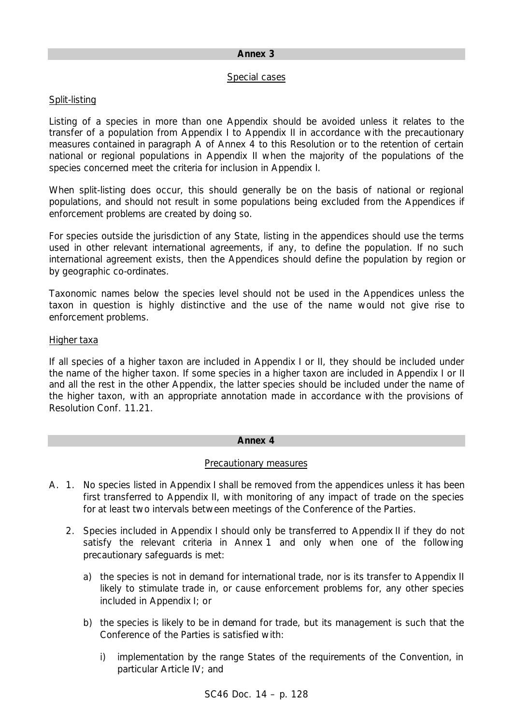#### Special cases

# Split-listing

Listing of a species in more than one Appendix should be avoided unless it relates to the transfer of a population from Appendix I to Appendix II in accordance with the precautionary measures contained in paragraph A of Annex 4 to this Resolution or to the retention of certain national or regional populations in Appendix II when the majority of the populations of the species concerned meet the criteria for inclusion in Appendix I.

When split-listing does occur, this should generally be on the basis of national or regional populations, and should not result in some populations being excluded from the Appendices if enforcement problems are created by doing so.

For species outside the jurisdiction of any State, listing in the appendices should use the terms used in other relevant international agreements, if any, to define the population. If no such international agreement exists, then the Appendices should define the population by region or by geographic co-ordinates.

Taxonomic names below the species level should not be used in the Appendices unless the taxon in question is highly distinctive and the use of the name would not give rise to enforcement problems.

# Higher taxa

If all species of a higher taxon are included in Appendix I or II, they should be included under the name of the higher taxon. If some species in a higher taxon are included in Appendix I or II and all the rest in the other Appendix, the latter species should be included under the name of the higher taxon, with an appropriate annotation made in accordance with the provisions of Resolution Conf. 11.21.

# **Annex 4**

# Precautionary measures

- A. 1. No species listed in Appendix I shall be removed from the appendices unless it has been first transferred to Appendix II, with monitoring of any impact of trade on the species for at least two intervals between meetings of the Conference of the Parties.
	- 2. Species included in Appendix I should only be transferred to Appendix II if they do not satisfy the relevant criteria in Annex 1 and only when one of the following precautionary safeguards is met:
		- a) the species is not in demand for international trade, nor is its transfer to Appendix II likely to stimulate trade in, or cause enforcement problems for, any other species included in Appendix I; or
		- b) the species is likely to be in demand for trade, but its management is such that the Conference of the Parties is satisfied with:
			- i) implementation by the range States of the requirements of the Convention, in particular Article IV; and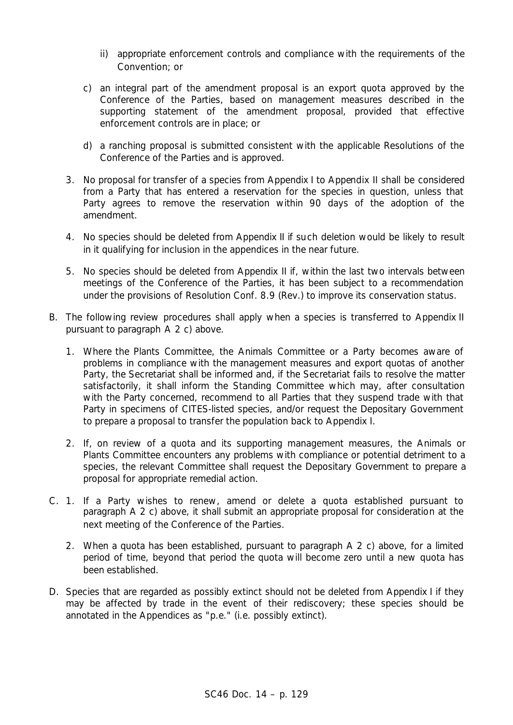- ii) appropriate enforcement controls and compliance with the requirements of the Convention; or
- c) an integral part of the amendment proposal is an export quota approved by the Conference of the Parties, based on management measures described in the supporting statement of the amendment proposal, provided that effective enforcement controls are in place; or
- d) a ranching proposal is submitted consistent with the applicable Resolutions of the Conference of the Parties and is approved.
- 3. No proposal for transfer of a species from Appendix I to Appendix II shall be considered from a Party that has entered a reservation for the species in question, unless that Party agrees to remove the reservation within 90 days of the adoption of the amendment.
- 4. No species should be deleted from Appendix II if such deletion would be likely to result in it qualifying for inclusion in the appendices in the near future.
- 5. No species should be deleted from Appendix II if, within the last two intervals between meetings of the Conference of the Parties, it has been subject to a recommendation under the provisions of Resolution Conf. 8.9 (Rev.) to improve its conservation status.
- B. The following review procedures shall apply when a species is transferred to Appendix II pursuant to paragraph A 2 c) above.
	- 1. Where the Plants Committee, the Animals Committee or a Party becomes aware of problems in compliance with the management measures and export quotas of another Party, the Secretariat shall be informed and, if the Secretariat fails to resolve the matter satisfactorily, it shall inform the Standing Committee which may, after consultation with the Party concerned, recommend to all Parties that they suspend trade with that Party in specimens of CITES-listed species, and/or request the Depositary Government to prepare a proposal to transfer the population back to Appendix I.
	- 2. If, on review of a quota and its supporting management measures, the Animals or Plants Committee encounters any problems with compliance or potential detriment to a species, the relevant Committee shall request the Depositary Government to prepare a proposal for appropriate remedial action.
- C. 1. If a Party wishes to renew, amend or delete a quota established pursuant to paragraph A 2 c) above, it shall submit an appropriate proposal for consideration at the next meeting of the Conference of the Parties.
	- 2. When a quota has been established, pursuant to paragraph A 2 c) above, for a limited period of time, beyond that period the quota will become zero until a new quota has been established.
- D. Species that are regarded as possibly extinct should not be deleted from Appendix I if they may be affected by trade in the event of their rediscovery; these species should be annotated in the Appendices as "p.e." (i.e. possibly extinct).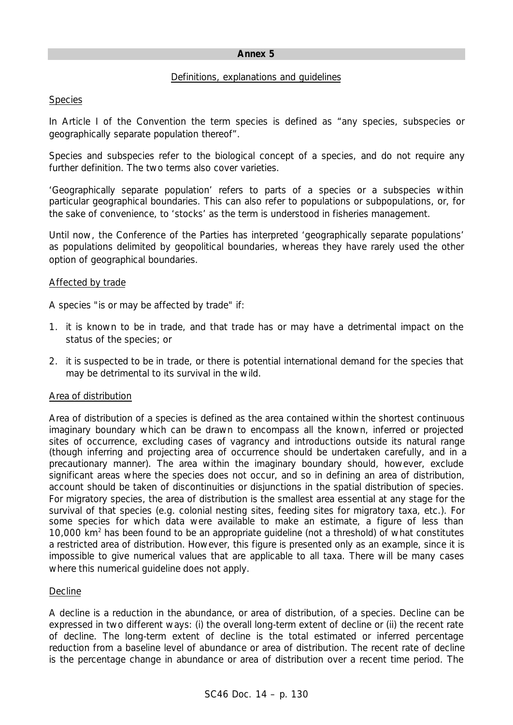### Definitions, explanations and guidelines

# Species

In Article I of the Convention the term species is defined as "any species, subspecies or geographically separate population thereof".

Species and subspecies refer to the biological concept of a species, and do not require any further definition. The two terms also cover varieties.

'Geographically separate population' refers to parts of a species or a subspecies within particular geographical boundaries. This can also refer to populations or subpopulations, or, for the sake of convenience, to 'stocks' as the term is understood in fisheries management.

Until now, the Conference of the Parties has interpreted 'geographically separate populations' as populations delimited by geopolitical boundaries, whereas they have rarely used the other option of geographical boundaries.

# Affected by trade

A species "is or may be affected by trade" if:

- 1. it is known to be in trade, and that trade has or may have a detrimental impact on the status of the species; or
- 2. it is suspected to be in trade, or there is potential international demand for the species that may be detrimental to its survival in the wild.

# Area of distribution

Area of distribution of a species is defined as the area contained within the shortest continuous imaginary boundary which can be drawn to encompass all the known, inferred or projected sites of occurrence, excluding cases of vagrancy and introductions outside its natural range (though inferring and projecting area of occurrence should be undertaken carefully, and in a precautionary manner). The area within the imaginary boundary should, however, exclude significant areas where the species does not occur, and so in defining an area of distribution, account should be taken of discontinuities or disjunctions in the spatial distribution of species. For migratory species, the area of distribution is the smallest area essential at any stage for the survival of that species (e.g. colonial nesting sites, feeding sites for migratory taxa, etc.). For some species for which data were available to make an estimate, a figure of less than 10,000 km<sup>2</sup> has been found to be an appropriate guideline (not a threshold) of what constitutes a restricted area of distribution. However, this figure is presented only as an example, since it is impossible to give numerical values that are applicable to all taxa. There will be many cases where this numerical guideline does not apply.

# Decline

A decline is a reduction in the abundance, or area of distribution, of a species. Decline can be expressed in two different ways: (i) the overall long-term extent of decline or (ii) the recent rate of decline. The long-term extent of decline is the total estimated or inferred percentage reduction from a baseline level of abundance or area of distribution. The recent rate of decline is the percentage change in abundance or area of distribution over a recent time period. The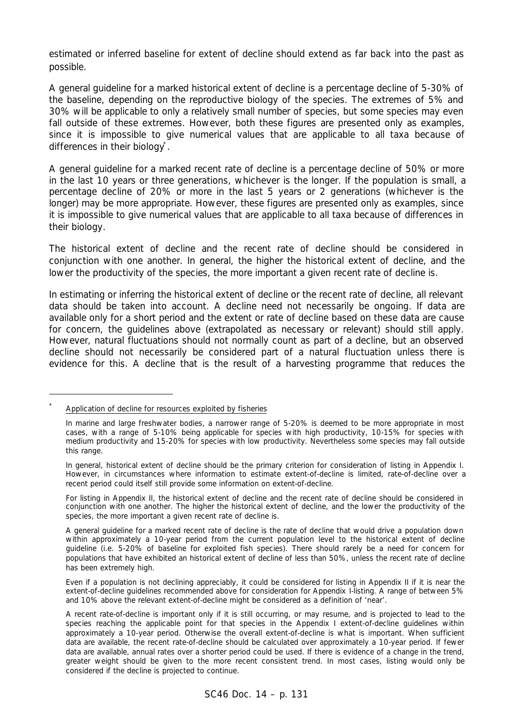estimated or inferred baseline for extent of decline should extend as far back into the past as possible.

A general guideline for a marked historical extent of decline is a percentage decline of 5-30% of the baseline, depending on the reproductive biology of the species. The extremes of 5% and 30% will be applicable to only a relatively small number of species, but some species may even fall outside of these extremes. However, both these figures are presented only as examples, since it is impossible to give numerical values that are applicable to all taxa because of differences in their biology<sup>\*</sup>.

A general guideline for a marked recent rate of decline is a percentage decline of 50% or more in the last 10 years or three generations, whichever is the longer. If the population is small, a percentage decline of 20% or more in the last 5 years or 2 generations (whichever is the longer) may be more appropriate. However, these figures are presented only as examples, since it is impossible to give numerical values that are applicable to all taxa because of differences in their biology.

The historical extent of decline and the recent rate of decline should be considered in conjunction with one another. In general, the higher the historical extent of decline, and the lower the productivity of the species, the more important a given recent rate of decline is.

In estimating or inferring the historical extent of decline or the recent rate of decline, all relevant data should be taken into account. A decline need not necessarily be ongoing. If data are available only for a short period and the extent or rate of decline based on these data are cause for concern, the guidelines above (extrapolated as necessary or relevant) should still apply. However, natural fluctuations should not normally count as part of a decline, but an observed decline should not necessarily be considered part of a natural fluctuation unless there is evidence for this. A decline that is the result of a harvesting programme that reduces the

L

For listing in Appendix II, the historical extent of decline and the recent rate of decline should be considered in conjunction with one another. The higher the historical extent of decline, and the lower the productivity of the species, the more important a given recent rate of decline is.

*<sup>\*</sup>* Application of decline for resources exploited by fisheries

In marine and large freshwater bodies, a narrower range of 5-20% is deemed to be more appropriate in most cases, with a range of 5-10% being applicable for species with high productivity, 10-15% for species with medium productivity and 15-20% for species with low productivity. Nevertheless some species may fall outside this range.

In general, historical extent of decline should be the primary criterion for consideration of listing in Appendix I. However, in circumstances where information to estimate extent-of-decline is limited, rate-of-decline over a recent period could itself still provide some information on extent-of-decline.

A general guideline for a marked recent rate of decline is the rate of decline that would drive a population down within approximately a 10-year period from the current population level to the historical extent of decline guideline (i.e. 5-20% of baseline for exploited fish species). There should rarely be a need for concern for populations that have exhibited an historical extent of decline of less than 50%, unless the recent rate of decline has been extremely high.

Even if a population is not declining appreciably, it could be considered for listing in Appendix II if it is near the extent-of-decline guidelines recommended above for consideration for Appendix I-listing. A range of between 5% and 10% above the relevant extent-of-decline might be considered as a definition of 'near'.

A recent rate-of-decline is important only if it is still occurring, or may resume, and is projected to lead to the species reaching the applicable point for that species in the Appendix I extent-of-decline guidelines within approximately a 10-year period. Otherwise the overall extent-of-decline is what is important. When sufficient data are available, the recent rate-of-decline should be calculated over approximately a 10-year period. If fewer data are available, annual rates over a shorter period could be used. If there is evidence of a change in the trend, greater weight should be given to the more recent consistent trend. In most cases, listing would only be considered if the decline is projected to continue.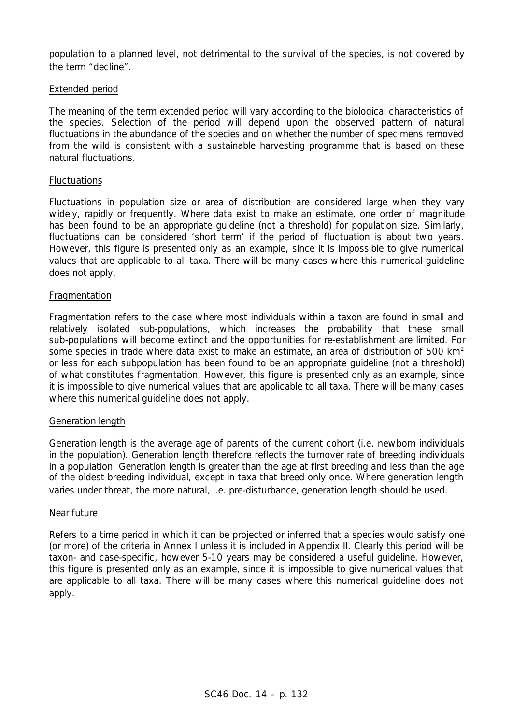population to a planned level, not detrimental to the survival of the species, is not covered by the term "decline".

### Extended period

The meaning of the term extended period will vary according to the biological characteristics of the species. Selection of the period will depend upon the observed pattern of natural fluctuations in the abundance of the species and on whether the number of specimens removed from the wild is consistent with a sustainable harvesting programme that is based on these natural fluctuations.

### Fluctuations

Fluctuations in population size or area of distribution are considered large when they vary widely, rapidly or frequently. Where data exist to make an estimate, one order of magnitude has been found to be an appropriate quideline (not a threshold) for population size. Similarly, fluctuations can be considered 'short term' if the period of fluctuation is about two years. However, this figure is presented only as an example, since it is impossible to give numerical values that are applicable to all taxa. There will be many cases where this numerical guideline does not apply.

#### **Fragmentation**

Fragmentation refers to the case where most individuals within a taxon are found in small and relatively isolated sub-populations, which increases the probability that these small sub-populations will become extinct and the opportunities for re-establishment are limited. For some species in trade where data exist to make an estimate, an area of distribution of 500 km<sup>2</sup> or less for each subpopulation has been found to be an appropriate guideline (not a threshold) of what constitutes fragmentation. However, this figure is presented only as an example, since it is impossible to give numerical values that are applicable to all taxa. There will be many cases where this numerical guideline does not apply.

#### Generation length

Generation length is the average age of parents of the current cohort (i.e. newborn individuals in the population). Generation length therefore reflects the turnover rate of breeding individuals in a population. Generation length is greater than the age at first breeding and less than the age of the oldest breeding individual, except in taxa that breed only once. Where generation length varies under threat, the more natural, i.e. pre-disturbance, generation length should be used.

#### Near future

Refers to a time period in which it can be projected or inferred that a species would satisfy one (or more) of the criteria in Annex I unless it is included in Appendix II. Clearly this period will be taxon- and case-specific, however 5-10 years may be considered a useful guideline. However, this figure is presented only as an example, since it is impossible to give numerical values that are applicable to all taxa. There will be many cases where this numerical guideline does not apply.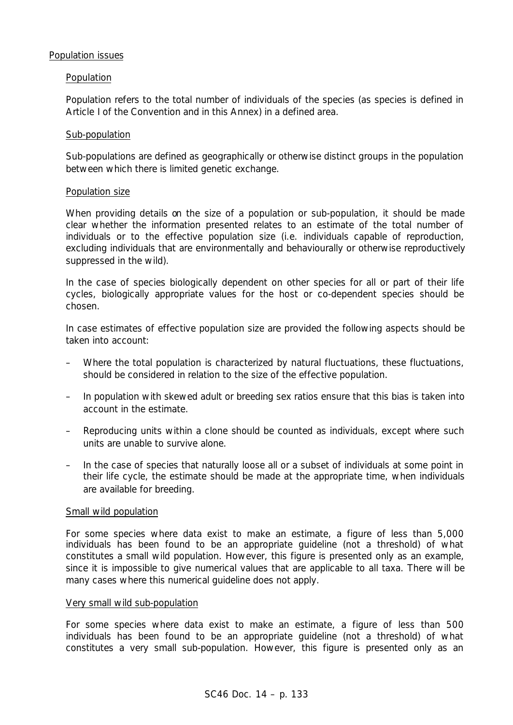#### Population issues

#### Population

Population refers to the total number of individuals of the species (as species is defined in Article I of the Convention and in this Annex) in a defined area.

#### Sub-population

Sub-populations are defined as geographically or otherwise distinct groups in the population between which there is limited genetic exchange.

#### Population size

When providing details on the size of a population or sub-population, it should be made clear whether the information presented relates to an estimate of the total number of individuals or to the effective population size (i.e. individuals capable of reproduction, excluding individuals that are environmentally and behaviourally or otherwise reproductively suppressed in the wild).

In the case of species biologically dependent on other species for all or part of their life cycles, biologically appropriate values for the host or co-dependent species should be chosen.

In case estimates of effective population size are provided the following aspects should be taken into account:

- Where the total population is characterized by natural fluctuations, these fluctuations, should be considered in relation to the size of the effective population.
- In population with skewed adult or breeding sex ratios ensure that this bias is taken into account in the estimate.
- Reproducing units within a clone should be counted as individuals, except where such units are unable to survive alone.
- In the case of species that naturally loose all or a subset of individuals at some point in their life cycle, the estimate should be made at the appropriate time, when individuals are available for breeding.

#### Small wild population

For some species where data exist to make an estimate, a figure of less than 5,000 individuals has been found to be an appropriate guideline (not a threshold) of what constitutes a small wild population. However, this figure is presented only as an example, since it is impossible to give numerical values that are applicable to all taxa. There will be many cases where this numerical guideline does not apply.

#### Very small wild sub-population

For some species where data exist to make an estimate, a figure of less than 500 individuals has been found to be an appropriate guideline (not a threshold) of what constitutes a very small sub-population. However, this figure is presented only as an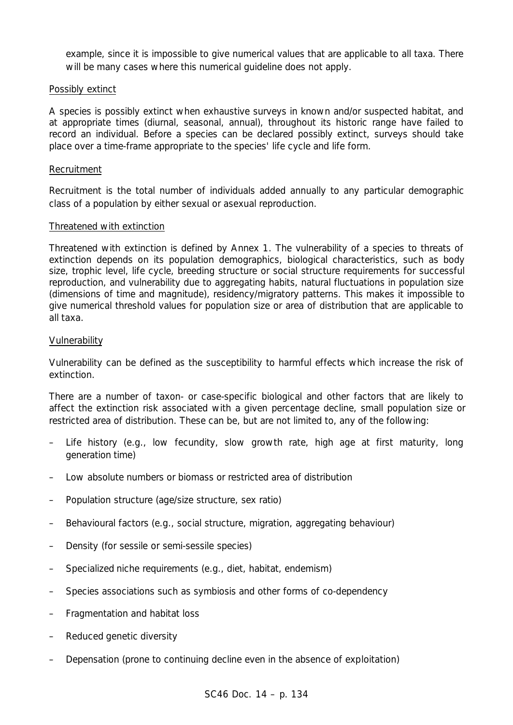example, since it is impossible to give numerical values that are applicable to all taxa. There will be many cases where this numerical guideline does not apply.

# Possibly extinct

A species is possibly extinct when exhaustive surveys in known and/or suspected habitat, and at appropriate times (diurnal, seasonal, annual), throughout its historic range have failed to record an individual. Before a species can be declared possibly extinct, surveys should take place over a time-frame appropriate to the species' life cycle and life form.

#### Recruitment

Recruitment is the total number of individuals added annually to any particular demographic class of a population by either sexual or asexual reproduction.

#### Threatened with extinction

Threatened with extinction is defined by Annex 1. The vulnerability of a species to threats of extinction depends on its population demographics, biological characteristics, such as body size, trophic level, life cycle, breeding structure or social structure requirements for successful reproduction, and vulnerability due to aggregating habits, natural fluctuations in population size (dimensions of time and magnitude), residency/migratory patterns. This makes it impossible to give numerical threshold values for population size or area of distribution that are applicable to all taxa.

#### Vulnerability

Vulnerability can be defined as the susceptibility to harmful effects which increase the risk of extinction.

There are a number of taxon- or case-specific biological and other factors that are likely to affect the extinction risk associated with a given percentage decline, small population size or restricted area of distribution. These can be, but are not limited to, any of the following:

- Life history (e.g., low fecundity, slow growth rate, high age at first maturity, long generation time)
- Low absolute numbers or biomass or restricted area of distribution
- Population structure (age/size structure, sex ratio)
- Behavioural factors (e.g., social structure, migration, aggregating behaviour)
- Density (for sessile or semi-sessile species)
- Specialized niche requirements (e.g., diet, habitat, endemism)
- Species associations such as symbiosis and other forms of co-dependency
- Fragmentation and habitat loss
- Reduced genetic diversity
- Depensation (prone to continuing decline even in the absence of exploitation)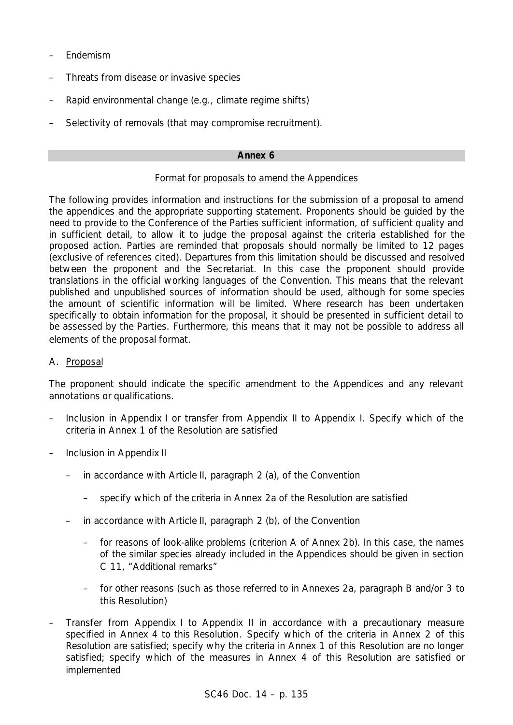- Endemism
- Threats from disease or invasive species
- Rapid environmental change (e.g., climate regime shifts)
- Selectivity of removals (that may compromise recruitment).

### Format for proposals to amend the Appendices

The following provides information and instructions for the submission of a proposal to amend the appendices and the appropriate supporting statement. Proponents should be guided by the need to provide to the Conference of the Parties sufficient information, of sufficient quality and in sufficient detail, to allow it to judge the proposal against the criteria established for the proposed action. Parties are reminded that proposals should normally be limited to 12 pages (exclusive of references cited). Departures from this limitation should be discussed and resolved between the proponent and the Secretariat. In this case the proponent should provide translations in the official working languages of the Convention. This means that the relevant published and unpublished sources of information should be used, although for some species the amount of scientific information will be limited. Where research has been undertaken specifically to obtain information for the proposal, it should be presented in sufficient detail to be assessed by the Parties. Furthermore, this means that it may not be possible to address all elements of the proposal format.

### A. Proposal

The proponent should indicate the specific amendment to the Appendices and any relevant annotations or qualifications.

- Inclusion in Appendix I or transfer from Appendix II to Appendix I. Specify which of the criteria in Annex 1 of the Resolution are satisfied
- Inclusion in Appendix II
	- in accordance with Article II, paragraph 2 (a), of the Convention
		- specify which of the criteria in Annex 2a of the Resolution are satisfied
	- in accordance with Article II, paragraph 2 (b), of the Convention
		- for reasons of look-alike problems (criterion A of Annex 2b). In this case, the names of the similar species already included in the Appendices should be given in section C 11, "Additional remarks"
		- for other reasons (such as those referred to in Annexes 2a, paragraph B and/or 3 to this Resolution)
- Transfer from Appendix I to Appendix II in accordance with a precautionary measure specified in Annex 4 to this Resolution. Specify which of the criteria in Annex 2 of this Resolution are satisfied; specify why the criteria in Annex 1 of this Resolution are no longer satisfied; specify which of the measures in Annex 4 of this Resolution are satisfied or implemented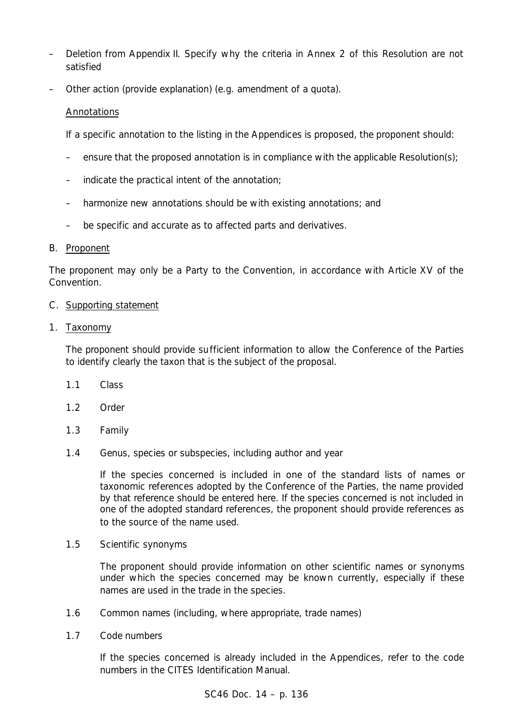- Deletion from Appendix II. Specify why the criteria in Annex 2 of this Resolution are not satisfied
- Other action (provide explanation) (e.g. amendment of a quota).

# Annotations

If a specific annotation to the listing in the Appendices is proposed, the proponent should:

- ensure that the proposed annotation is in compliance with the applicable Resolution(s);
- indicate the practical intent of the annotation;
- harmonize new annotations should be with existing annotations; and
- be specific and accurate as to affected parts and derivatives.

# B. Proponent

The proponent may only be a Party to the Convention, in accordance with Article XV of the Convention.

# C. Supporting statement

# 1. Taxonomy

The proponent should provide sufficient information to allow the Conference of the Parties to identify clearly the taxon that is the subject of the proposal.

- 1.1 Class
- 1.2 Order
- 1.3 Family
- 1.4 Genus, species or subspecies, including author and year

If the species concerned is included in one of the standard lists of names or taxonomic references adopted by the Conference of the Parties, the name provided by that reference should be entered here. If the species concerned is not included in one of the adopted standard references, the proponent should provide references as to the source of the name used.

1.5 Scientific synonyms

The proponent should provide information on other scientific names or synonyms under which the species concerned may be known currently, especially if these names are used in the trade in the species.

- 1.6 Common names (including, where appropriate, trade names)
- 1.7 Code numbers

If the species concerned is already included in the Appendices, refer to the code numbers in the CITES Identification Manual.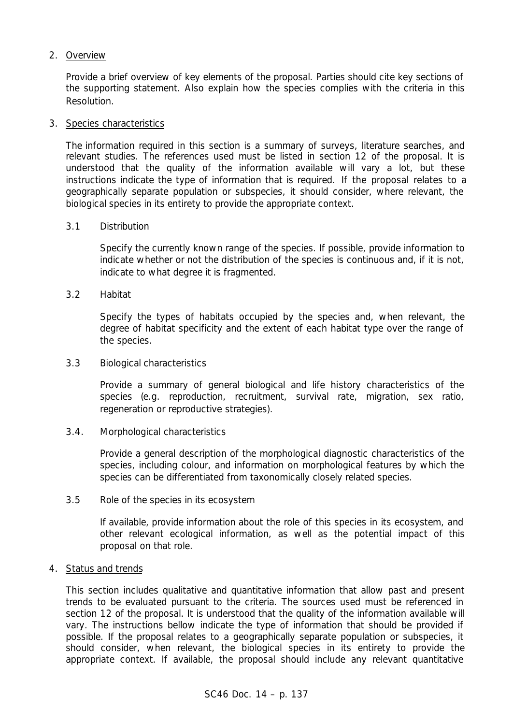# 2. Overview

Provide a brief overview of key elements of the proposal. Parties should cite key sections of the supporting statement. Also explain how the species complies with the criteria in this Resolution.

# 3. Species characteristics

The information required in this section is a summary of surveys, literature searches, and relevant studies. The references used must be listed in section 12 of the proposal. It is understood that the quality of the information available will vary a lot, but these instructions indicate the type of information that is required. If the proposal relates to a geographically separate population or subspecies, it should consider, where relevant, the biological species in its entirety to provide the appropriate context.

# 3.1 Distribution

Specify the currently known range of the species. If possible, provide information to indicate whether or not the distribution of the species is continuous and, if it is not, indicate to what degree it is fragmented.

3.2 Habitat

Specify the types of habitats occupied by the species and, when relevant, the degree of habitat specificity and the extent of each habitat type over the range of the species.

# 3.3 Biological characteristics

Provide a summary of general biological and life history characteristics of the species (*e.g.* reproduction, recruitment, survival rate, migration, sex ratio, regeneration or reproductive strategies).

# 3.4. Morphological characteristics

Provide a general description of the morphological diagnostic characteristics of the species, including colour, and information on morphological features by which the species can be differentiated from taxonomically closely related species.

3.5 Role of the species in its ecosystem

If available, provide information about the role of this species in its ecosystem, and other relevant ecological information, as well as the potential impact of this proposal on that role.

# 4. Status and trends

This section includes qualitative and quantitative information that allow past and present trends to be evaluated pursuant to the criteria. The sources used must be referenced in section 12 of the proposal. It is understood that the quality of the information available will vary. The instructions bellow indicate the type of information that should be provided if possible. If the proposal relates to a geographically separate population or subspecies, it should consider, when relevant, the biological species in its entirety to provide the appropriate context. If available, the proposal should include any relevant quantitative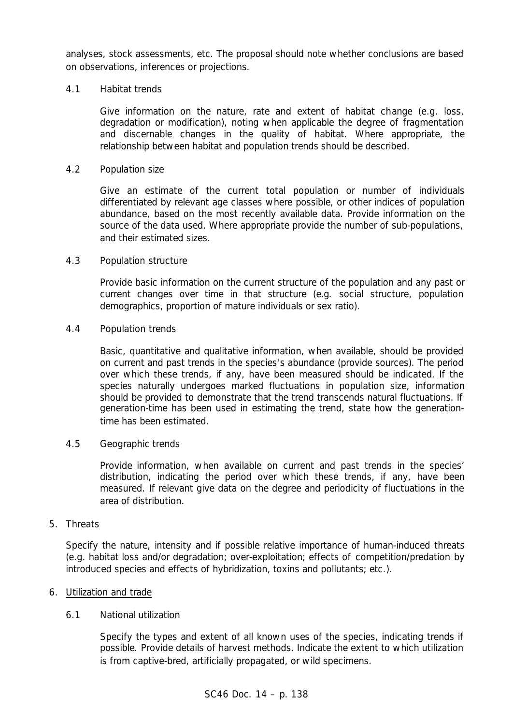analyses, stock assessments, etc. The proposal should note whether conclusions are based on observations, inferences or projections.

# 4.1 Habitat trends

Give information on the nature, rate and extent of habitat change (*e.g.* loss, degradation or modification), noting when applicable the degree of fragmentation and discernable changes in the quality of habitat. Where appropriate, the relationship between habitat and population trends should be described.

# 4.2 Population size

Give an estimate of the current total population or number of individuals differentiated by relevant age classes where possible, or other indices of population abundance, based on the most recently available data. Provide information on the source of the data used. Where appropriate provide the number of sub-populations, and their estimated sizes.

# 4.3 Population structure

Provide basic information on the current structure of the population and any past or current changes over time in that structure (*e.g.* social structure, population demographics, proportion of mature individuals or sex ratio).

# 4.4 Population trends

Basic, quantitative and qualitative information, when available, should be provided on current and past trends in the species's abundance (provide sources). The period over which these trends, if any, have been measured should be indicated. If the species naturally undergoes marked fluctuations in population size, information should be provided to demonstrate that the trend transcends natural fluctuations. If generation-time has been used in estimating the trend, state how the generationtime has been estimated.

# 4.5 Geographic trends

Provide information, when available on current and past trends in the species' distribution, indicating the period over which these trends, if any, have been measured. If relevant give data on the degree and periodicity of fluctuations in the area of distribution.

# 5. Threats

Specify the nature, intensity and if possible relative importance of human-induced threats (e.g. habitat loss and/or degradation; over-exploitation; effects of competition/predation by introduced species and effects of hybridization, toxins and pollutants; etc.).

# 6. Utilization and trade

# 6.1 National utilization

Specify the types and extent of all known uses of the species, indicating trends if possible. Provide details of harvest methods. Indicate the extent to which utilization is from captive-bred, artificially propagated, or wild specimens.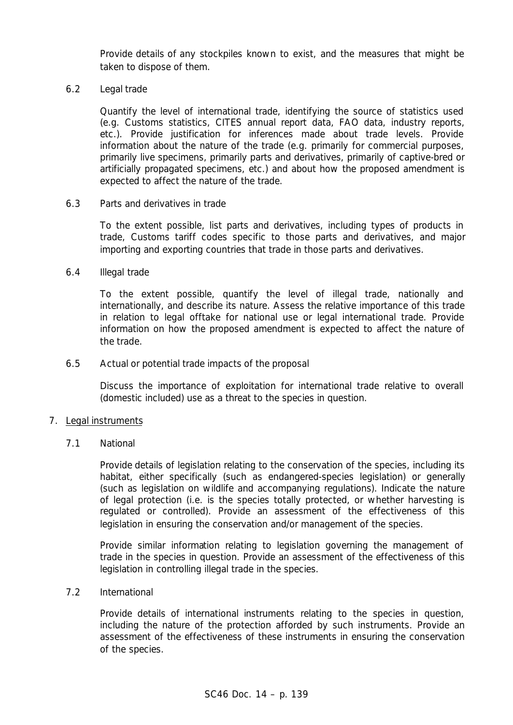Provide details of any stockpiles known to exist, and the measures that might be taken to dispose of them.

6.2 Legal trade

Quantify the level of international trade, identifying the source of statistics used (e.g. Customs statistics, CITES annual report data, FAO data, industry reports, etc.). Provide justification for inferences made about trade levels. Provide information about the nature of the trade (e.g. primarily for commercial purposes, primarily live specimens, primarily parts and derivatives, primarily of captive-bred or artificially propagated specimens, etc.) and about how the proposed amendment is expected to affect the nature of the trade.

6.3 Parts and derivatives in trade

To the extent possible, list parts and derivatives, including types of products in trade, Customs tariff codes specific to those parts and derivatives, and major importing and exporting countries that trade in those parts and derivatives.

6.4 Illegal trade

To the extent possible, quantify the level of illegal trade, nationally and internationally, and describe its nature. Assess the relative importance of this trade in relation to legal offtake for national use or legal international trade. Provide information on how the proposed amendment is expected to affect the nature of the trade.

6.5 Actual or potential trade impacts of the proposal

Discuss the importance of exploitation for international trade relative to overall (domestic included) use as a threat to the species in question.

# 7. Legal instruments

7.1 National

Provide details of legislation relating to the conservation of the species, including its habitat, either specifically (such as endangered-species legislation) or generally (such as legislation on wildlife and accompanying regulations). Indicate the nature of legal protection (i.e. is the species totally protected, or whether harvesting is regulated or controlled). Provide an assessment of the effectiveness of this legislation in ensuring the conservation and/or management of the species.

Provide similar information relating to legislation governing the management of trade in the species in question. Provide an assessment of the effectiveness of this legislation in controlling illegal trade in the species.

7.2 International

Provide details of international instruments relating to the species in question, including the nature of the protection afforded by such instruments. Provide an assessment of the effectiveness of these instruments in ensuring the conservation of the species.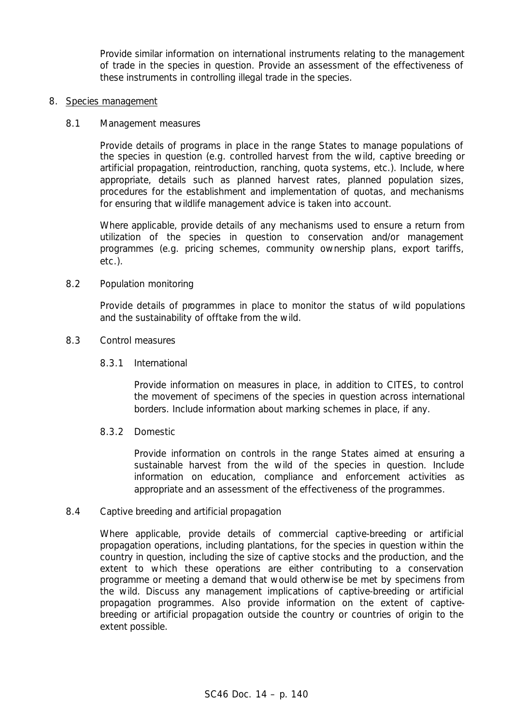Provide similar information on international instruments relating to the management of trade in the species in question. Provide an assessment of the effectiveness of these instruments in controlling illegal trade in the species.

#### 8. Species management

### 8.1 Management measures

Provide details of programs in place in the range States to manage populations of the species in question (e.g. controlled harvest from the wild, captive breeding or artificial propagation, reintroduction, ranching, quota systems, etc.). Include, where appropriate, details such as planned harvest rates, planned population sizes, procedures for the establishment and implementation of quotas, and mechanisms for ensuring that wildlife management advice is taken into account.

Where applicable, provide details of any mechanisms used to ensure a return from utilization of the species in question to conservation and/or management programmes (e.g. pricing schemes, community ownership plans, export tariffs, etc.).

#### 8.2 Population monitoring

Provide details of programmes in place to monitor the status of wild populations and the sustainability of offtake from the wild.

#### 8.3 Control measures

### 8.3.1 International

Provide information on measures in place, in addition to CITES, to control the movement of specimens of the species in question across international borders. Include information about marking schemes in place, if any.

# 8.3.2 Domestic

Provide information on controls in the range States aimed at ensuring a sustainable harvest from the wild of the species in question. Include information on education, compliance and enforcement activities as appropriate and an assessment of the effectiveness of the programmes.

#### 8.4 Captive breeding and artificial propagation

Where applicable, provide details of commercial captive-breeding or artificial propagation operations, including plantations, for the species in question within the country in question, including the size of captive stocks and the production, and the extent to which these operations are either contributing to a conservation programme or meeting a demand that would otherwise be met by specimens from the wild. Discuss any management implications of captive-breeding or artificial propagation programmes. Also provide information on the extent of captivebreeding or artificial propagation outside the country or countries of origin to the extent possible.